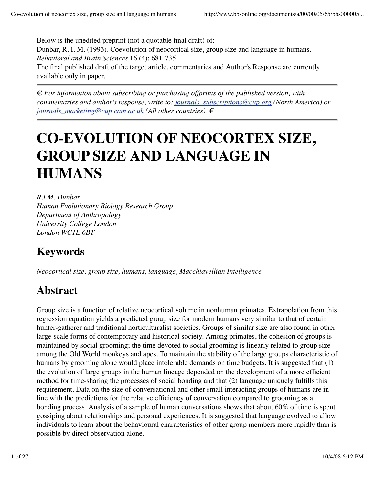Below is the unedited preprint (not a quotable final draft) of: Dunbar, R. I. M. (1993). Coevolution of neocortical size, group size and language in humans. *Behavioral and Brain Sciences* 16 (4): 681-735. The final published draft of the target article, commentaries and Author's Response are currently

available only in paper.

€ *For information about subscribing or purchasing offprints of the published version, with commentaries and author's response, write to: journals\_subscriptions@cup.org (North America) or journals\_marketing@cup.cam.ac.uk (All other countries).* €

# **CO-EVOLUTION OF NEOCORTEX SIZE, GROUP SIZE AND LANGUAGE IN HUMANS**

*R.I.M. Dunbar Human Evolutionary Biology Research Group Department of Anthropology University College London London WC1E 6BT*

## **Keywords**

*Neocortical size, group size, humans, language, Macchiavellian Intelligence*

# **Abstract**

Group size is a function of relative neocortical volume in nonhuman primates. Extrapolation from this regression equation yields a predicted group size for modern humans very similar to that of certain hunter-gatherer and traditional horticulturalist societies. Groups of similar size are also found in other large-scale forms of contemporary and historical society. Among primates, the cohesion of groups is maintained by social grooming; the time devoted to social grooming is linearly related to group size among the Old World monkeys and apes. To maintain the stability of the large groups characteristic of humans by grooming alone would place intolerable demands on time budgets. It is suggested that (1) the evolution of large groups in the human lineage depended on the development of a more efficient method for time-sharing the processes of social bonding and that (2) language uniquely fulfills this requirement. Data on the size of conversational and other small interacting groups of humans are in line with the predictions for the relative efficiency of conversation compared to grooming as a bonding process. Analysis of a sample of human conversations shows that about 60% of time is spent gossiping about relationships and personal experiences. It is suggested that language evolved to allow individuals to learn about the behavioural characteristics of other group members more rapidly than is possible by direct observation alone.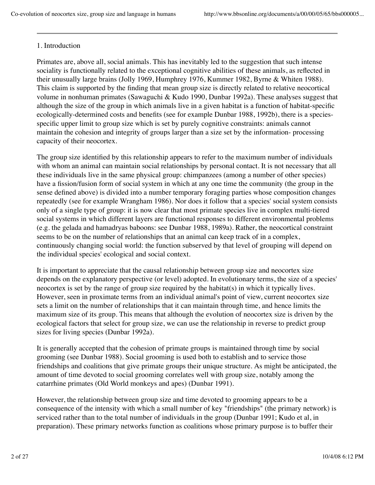#### 1. Introduction

Primates are, above all, social animals. This has inevitably led to the suggestion that such intense sociality is functionally related to the exceptional cognitive abilities of these animals, as reflected in their unusually large brains (Jolly 1969, Humphrey 1976, Kummer 1982, Byrne & Whiten 1988). This claim is supported by the finding that mean group size is directly related to relative neocortical volume in nonhuman primates (Sawaguchi & Kudo 1990, Dunbar 1992a). These analyses suggest that although the size of the group in which animals live in a given habitat is a function of habitat-specific ecologically-determined costs and benefits (see for example Dunbar 1988, 1992b), there is a speciesspecific upper limit to group size which is set by purely cognitive constraints: animals cannot maintain the cohesion and integrity of groups larger than a size set by the information- processing capacity of their neocortex.

The group size identified by this relationship appears to refer to the maximum number of individuals with whom an animal can maintain social relationships by personal contact. It is not necessary that all these individuals live in the same physical group: chimpanzees (among a number of other species) have a fission/fusion form of social system in which at any one time the community (the group in the sense defined above) is divided into a number temporary foraging parties whose composition changes repeatedly (see for example Wrangham 1986). Nor does it follow that a species' social system consists only of a single type of group: it is now clear that most primate species live in complex multi-tiered social systems in which different layers are functional responses to different environmental problems (e.g. the gelada and hamadryas baboons: see Dunbar 1988, 1989a). Rather, the neocortical constraint seems to be on the number of relationships that an animal can keep track of in a complex, continuously changing social world: the function subserved by that level of grouping will depend on the individual species' ecological and social context.

It is important to appreciate that the causal relationship between group size and neocortex size depends on the explanatory perspective (or level) adopted. In evolutionary terms, the size of a species' neocortex is set by the range of group size required by the habitat(s) in which it typically lives. However, seen in proximate terms from an individual animal's point of view, current neocortex size sets a limit on the number of relationships that it can maintain through time, and hence limits the maximum size of its group. This means that although the evolution of neocortex size is driven by the ecological factors that select for group size, we can use the relationship in reverse to predict group sizes for living species (Dunbar 1992a).

It is generally accepted that the cohesion of primate groups is maintained through time by social grooming (see Dunbar 1988). Social grooming is used both to establish and to service those friendships and coalitions that give primate groups their unique structure. As might be anticipated, the amount of time devoted to social grooming correlates well with group size, notably among the catarrhine primates (Old World monkeys and apes) (Dunbar 1991).

However, the relationship between group size and time devoted to grooming appears to be a consequence of the intensity with which a small number of key "friendships" (the primary network) is serviced rather than to the total number of individuals in the group (Dunbar 1991; Kudo et al, in preparation). These primary networks function as coalitions whose primary purpose is to buffer their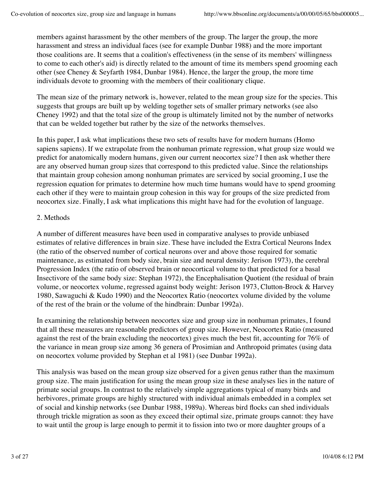members against harassment by the other members of the group. The larger the group, the more harassment and stress an individual faces (see for example Dunbar 1988) and the more important those coalitions are. It seems that a coalition's effectiveness (in the sense of its members' willingness to come to each other's aid) is directly related to the amount of time its members spend grooming each other (see Cheney & Seyfarth 1984, Dunbar 1984). Hence, the larger the group, the more time individuals devote to grooming with the members of their coalitionary clique.

The mean size of the primary network is, however, related to the mean group size for the species. This suggests that groups are built up by welding together sets of smaller primary networks (see also Cheney 1992) and that the total size of the group is ultimately limited not by the number of networks that can be welded together but rather by the size of the networks themselves.

In this paper, I ask what implications these two sets of results have for modern humans (Homo sapiens sapiens). If we extrapolate from the nonhuman primate regression, what group size would we predict for anatomically modern humans, given our current neocortex size? I then ask whether there are any observed human group sizes that correspond to this predicted value. Since the relationships that maintain group cohesion among nonhuman primates are serviced by social grooming, I use the regression equation for primates to determine how much time humans would have to spend grooming each other if they were to maintain group cohesion in this way for groups of the size predicted from neocortex size. Finally, I ask what implications this might have had for the evolution of language.

#### 2. Methods

A number of different measures have been used in comparative analyses to provide unbiased estimates of relative differences in brain size. These have included the Extra Cortical Neurons Index (the ratio of the observed number of cortical neurons over and above those required for somatic maintenance, as estimated from body size, brain size and neural density: Jerison 1973), the cerebral Progression Index (the ratio of observed brain or neocortical volume to that predicted for a basal Insectivore of the same body size: Stephan 1972), the Encephalisation Quotient (the residual of brain volume, or neocortex volume, regressed against body weight: Jerison 1973, Clutton-Brock & Harvey 1980, Sawaguchi & Kudo 1990) and the Neocortex Ratio (neocortex volume divided by the volume of the rest of the brain or the volume of the hindbrain: Dunbar 1992a).

In examining the relationship between neocortex size and group size in nonhuman primates, I found that all these measures are reasonable predictors of group size. However, Neocortex Ratio (measured against the rest of the brain excluding the neocortex) gives much the best fit, accounting for 76% of the variance in mean group size among 36 genera of Prosimian and Anthropoid primates (using data on neocortex volume provided by Stephan et al 1981) (see Dunbar 1992a).

This analysis was based on the mean group size observed for a given genus rather than the maximum group size. The main justification for using the mean group size in these analyses lies in the nature of primate social groups. In contrast to the relatively simple aggregations typical of many birds and herbivores, primate groups are highly structured with individual animals embedded in a complex set of social and kinship networks (see Dunbar 1988, 1989a). Whereas bird flocks can shed individuals through trickle migration as soon as they exceed their optimal size, primate groups cannot: they have to wait until the group is large enough to permit it to fission into two or more daughter groups of a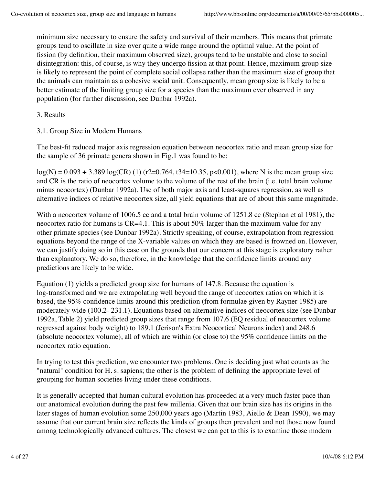minimum size necessary to ensure the safety and survival of their members. This means that primate groups tend to oscillate in size over quite a wide range around the optimal value. At the point of fission (by definition, their maximum observed size), groups tend to be unstable and close to social disintegration: this, of course, is why they undergo fission at that point. Hence, maximum group size is likely to represent the point of complete social collapse rather than the maximum size of group that the animals can maintain as a cohesive social unit. Consequently, mean group size is likely to be a better estimate of the limiting group size for a species than the maximum ever observed in any population (for further discussion, see Dunbar 1992a).

3. Results

#### 3.1. Group Size in Modern Humans

The best-fit reduced major axis regression equation between neocortex ratio and mean group size for the sample of 36 primate genera shown in Fig.1 was found to be:

 $log(N) = 0.093 + 3.389 log(CR)$  (1) (r2=0.764, t34=10.35, p<0.001), where N is the mean group size and CR is the ratio of neocortex volume to the volume of the rest of the brain (i.e. total brain volume minus neocortex) (Dunbar 1992a). Use of both major axis and least-squares regression, as well as alternative indices of relative neocortex size, all yield equations that are of about this same magnitude.

With a neocortex volume of 1006.5 cc and a total brain volume of 1251.8 cc (Stephan et al 1981), the neocortex ratio for humans is CR=4.1. This is about 50% larger than the maximum value for any other primate species (see Dunbar 1992a). Strictly speaking, of course, extrapolation from regression equations beyond the range of the X-variable values on which they are based is frowned on. However, we can justify doing so in this case on the grounds that our concern at this stage is exploratory rather than explanatory. We do so, therefore, in the knowledge that the confidence limits around any predictions are likely to be wide.

Equation (1) yields a predicted group size for humans of 147.8. Because the equation is log-transformed and we are extrapolating well beyond the range of neocortex ratios on which it is based, the 95% confidence limits around this prediction (from formulae given by Rayner 1985) are moderately wide (100.2- 231.1). Equations based on alternative indices of neocortex size (see Dunbar 1992a, Table 2) yield predicted group sizes that range from 107.6 (EQ residual of neocortex volume regressed against body weight) to 189.1 (Jerison's Extra Neocortical Neurons index) and 248.6 (absolute neocortex volume), all of which are within (or close to) the 95% confidence limits on the neocortex ratio equation.

In trying to test this prediction, we encounter two problems. One is deciding just what counts as the "natural" condition for H. s. sapiens; the other is the problem of defining the appropriate level of grouping for human societies living under these conditions.

It is generally accepted that human cultural evolution has proceeded at a very much faster pace than our anatomical evolution during the past few millenia. Given that our brain size has its origins in the later stages of human evolution some 250,000 years ago (Martin 1983, Aiello & Dean 1990), we may assume that our current brain size reflects the kinds of groups then prevalent and not those now found among technologically advanced cultures. The closest we can get to this is to examine those modern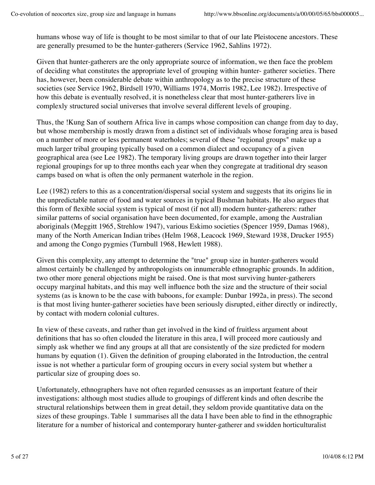humans whose way of life is thought to be most similar to that of our late Pleistocene ancestors. These are generally presumed to be the hunter-gatherers (Service 1962, Sahlins 1972).

Given that hunter-gatherers are the only appropriate source of information, we then face the problem of deciding what constitutes the appropriate level of grouping within hunter- gatherer societies. There has, however, been considerable debate within anthropology as to the precise structure of these societies (see Service 1962, Birdsell 1970, Williams 1974, Morris 1982, Lee 1982). Irrespective of how this debate is eventually resolved, it is nonetheless clear that most hunter-gatherers live in complexly structured social universes that involve several different levels of grouping.

Thus, the !Kung San of southern Africa live in camps whose composition can change from day to day, but whose membership is mostly drawn from a distinct set of individuals whose foraging area is based on a number of more or less permanent waterholes; several of these "regional groups" make up a much larger tribal grouping typically based on a common dialect and occupancy of a given geographical area (see Lee 1982). The temporary living groups are drawn together into their larger regional groupings for up to three months each year when they congregate at traditional dry season camps based on what is often the only permanent waterhole in the region.

Lee (1982) refers to this as a concentration/dispersal social system and suggests that its origins lie in the unpredictable nature of food and water sources in typical Bushman habitats. He also argues that this form of flexible social system is typical of most (if not all) modern hunter-gatherers: rather similar patterns of social organisation have been documented, for example, among the Australian aboriginals (Meggitt 1965, Strehlow 1947), various Eskimo societies (Spencer 1959, Damas 1968), many of the North American Indian tribes (Helm 1968, Leacock 1969, Steward 1938, Drucker 1955) and among the Congo pygmies (Turnbull 1968, Hewlett 1988).

Given this complexity, any attempt to determine the "true" group size in hunter-gatherers would almost certainly be challenged by anthropologists on innumerable ethnographic grounds. In addition, two other more general objections might be raised. One is that most surviving hunter-gatherers occupy marginal habitats, and this may well influence both the size and the structure of their social systems (as is known to be the case with baboons, for example: Dunbar 1992a, in press). The second is that most living hunter-gatherer societies have been seriously disrupted, either directly or indirectly, by contact with modern colonial cultures.

In view of these caveats, and rather than get involved in the kind of fruitless argument about definitions that has so often clouded the literature in this area, I will proceed more cautiously and simply ask whether we find any groups at all that are consistently of the size predicted for modern humans by equation (1). Given the definition of grouping elaborated in the Introduction, the central issue is not whether a particular form of grouping occurs in every social system but whether a particular size of grouping does so.

Unfortunately, ethnographers have not often regarded censusses as an important feature of their investigations: although most studies allude to groupings of different kinds and often describe the structural relationships between them in great detail, they seldom provide quantitative data on the sizes of these groupings. Table 1 summarises all the data I have been able to find in the ethnographic literature for a number of historical and contemporary hunter-gatherer and swidden horticulturalist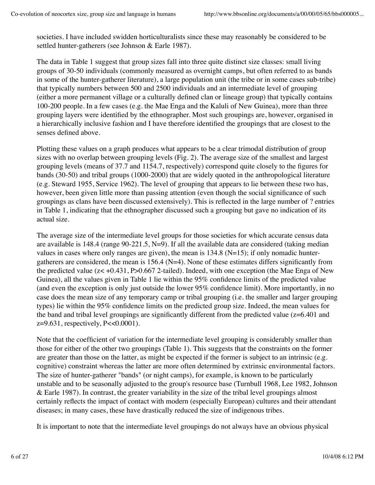societies. I have included swidden horticulturalists since these may reasonably be considered to be settled hunter-gatherers (see Johnson & Earle 1987).

The data in Table 1 suggest that group sizes fall into three quite distinct size classes: small living groups of 30-50 individuals (commonly measured as overnight camps, but often referred to as bands in some of the hunter-gatherer literature), a large population unit (the tribe or in some cases sub-tribe) that typically numbers between 500 and 2500 individuals and an intermediate level of grouping (either a more permanent village or a culturally defined clan or lineage group) that typically contains 100-200 people. In a few cases (e.g. the Mae Enga and the Kaluli of New Guinea), more than three grouping layers were identified by the ethnographer. Most such groupings are, however, organised in a hierarchically inclusive fashion and I have therefore identified the groupings that are closest to the senses defined above.

Plotting these values on a graph produces what appears to be a clear trimodal distribution of group sizes with no overlap between grouping levels (Fig. 2). The average size of the smallest and largest grouping levels (means of 37.7 and 1154.7, respectively) correspond quite closely to the figures for bands (30-50) and tribal groups (1000-2000) that are widely quoted in the anthropological literature (e.g. Steward 1955, Service 1962). The level of grouping that appears to lie between these two has, however, been given little more than passing attention (even though the social significance of such groupings as clans have been discussed extensively). This is reflected in the large number of ? entries in Table 1, indicating that the ethnographer discussed such a grouping but gave no indication of its actual size.

The average size of the intermediate level groups for those societies for which accurate census data are available is 148.4 (range 90-221.5, N=9). If all the available data are considered (taking median values in cases where only ranges are given), the mean is  $134.8$  (N=15); if only nomadic huntergatherers are considered, the mean is  $156.4$  (N=4). None of these estimates differs significantly from the predicted value  $(z< +0.431, P>0.667$  2-tailed). Indeed, with one exception (the Mae Enga of New Guinea), all the values given in Table 1 lie within the 95% confidence limits of the predicted value (and even the exception is only just outside the lower 95% confidence limit). More importantly, in no case does the mean size of any temporary camp or tribal grouping (i.e. the smaller and larger grouping types) lie within the 95% confidence limits on the predicted group size. Indeed, the mean values for the band and tribal level groupings are significantly different from the predicted value (z=6.401 and  $z=9.631$ , respectively, P<<0.0001).

Note that the coefficient of variation for the intermediate level grouping is considerably smaller than those for either of the other two groupings (Table 1). This suggests that the constraints on the former are greater than those on the latter, as might be expected if the former is subject to an intrinsic (e.g. cognitive) constraint whereas the latter are more often determined by extrinsic environmental factors. The size of hunter-gatherer "bands" (or night camps), for example, is known to be particularly unstable and to be seasonally adjusted to the group's resource base (Turnbull 1968, Lee 1982, Johnson & Earle 1987). In contrast, the greater variability in the size of the tribal level groupings almost certainly reflects the impact of contact with modern (especially European) cultures and their attendant diseases; in many cases, these have drastically reduced the size of indigenous tribes.

It is important to note that the intermediate level groupings do not always have an obvious physical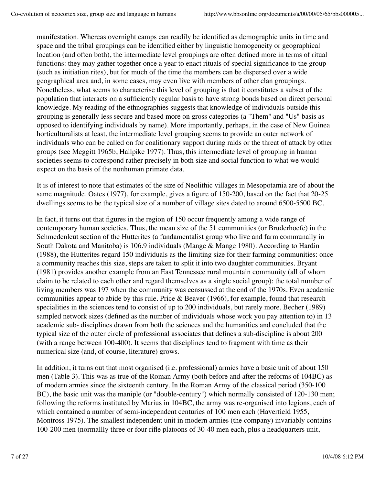manifestation. Whereas overnight camps can readily be identified as demographic units in time and space and the tribal groupings can be identified either by linguistic homogeneity or geographical location (and often both), the intermediate level groupings are often defined more in terms of ritual functions: they may gather together once a year to enact rituals of special significance to the group (such as initiation rites), but for much of the time the members can be dispersed over a wide geographical area and, in some cases, may even live with members of other clan groupings. Nonetheless, what seems to characterise this level of grouping is that it constitutes a subset of the population that interacts on a sufficiently regular basis to have strong bonds based on direct personal knowledge. My reading of the ethnographies suggests that knowledge of individuals outside this grouping is generally less secure and based more on gross categories (a "Them" and "Us" basis as opposed to identifying individuals by name). More importantly, perhaps, in the case of New Guinea horticulturalists at least, the intermediate level grouping seems to provide an outer network of individuals who can be called on for coalitionary support during raids or the threat of attack by other groups (see Meggitt 1965b, Hallpike 1977). Thus, this intermediate level of grouping in human societies seems to correspond rather precisely in both size and social function to what we would expect on the basis of the nonhuman primate data.

It is of interest to note that estimates of the size of Neolithic villages in Mesopotamia are of about the same magnitude. Oates (1977), for example, gives a figure of 150-200, based on the fact that 20-25 dwellings seems to be the typical size of a number of village sites dated to around 6500-5500 BC.

In fact, it turns out that figures in the region of 150 occur frequently among a wide range of contemporary human societies. Thus, the mean size of the 51 communities (or Bruderhoefe) in the Schmedenleut section of the Hutterites (a fundamentalist group who live and farm communally in South Dakota and Manitoba) is 106.9 individuals (Mange & Mange 1980). According to Hardin (1988), the Hutterites regard 150 individuals as the limiting size for their farming communities: once a community reaches this size, steps are taken to split it into two daughter communities. Bryant (1981) provides another example from an East Tennessee rural mountain community (all of whom claim to be related to each other and regard themselves as a single social group): the total number of living members was 197 when the community was censussed at the end of the 1970s. Even academic communities appear to abide by this rule. Price & Beaver (1966), for example, found that research specialities in the sciences tend to consist of up to 200 individuals, but rarely more. Becher (1989) sampled network sizes (defined as the number of individuals whose work you pay attention to) in 13 academic sub- disciplines drawn from both the sciences and the humanities and concluded that the typical size of the outer circle of professional associates that defines a sub-discipline is about 200 (with a range between 100-400). It seems that disciplines tend to fragment with time as their numerical size (and, of course, literature) grows.

In addition, it turns out that most organised (i.e. professional) armies have a basic unit of about 150 men (Table 3). This was as true of the Roman Army (both before and after the reforms of 104BC) as of modern armies since the sixteenth century. In the Roman Army of the classical period (350-100 BC), the basic unit was the maniple (or "double-century") which normally consisted of 120-130 men; following the reforms instituted by Marius in 104BC, the army was re-organised into legions, each of which contained a number of semi-independent centuries of 100 men each (Haverfield 1955, Montross 1975). The smallest independent unit in modern armies (the company) invariably contains 100-200 men (normallly three or four rifle platoons of 30-40 men each, plus a headquarters unit,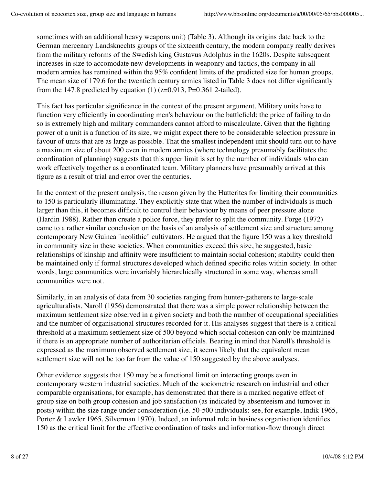sometimes with an additional heavy weapons unit) (Table 3). Although its origins date back to the German mercenary Landsknechts groups of the sixteenth century, the modern company really derives from the military reforms of the Swedish king Gustavus Adolphus in the 1620s. Despite subsequent increases in size to accomodate new developments in weaponry and tactics, the company in all modern armies has remained within the 95% confident limits of the predicted size for human groups. The mean size of 179.6 for the twentieth century armies listed in Table 3 does not differ significantly from the 147.8 predicted by equation (1)  $(z=0.913, P=0.361$  2-tailed).

This fact has particular significance in the context of the present argument. Military units have to function very efficiently in coordinating men's behaviour on the battlefield: the price of failing to do so is extremely high and military commanders cannot afford to miscalculate. Given that the fighting power of a unit is a function of its size, we might expect there to be considerable selection pressure in favour of units that are as large as possible. That the smallest independent unit should turn out to have a maximum size of about 200 even in modern armies (where technology presumably facilitates the coordination of planning) suggests that this upper limit is set by the number of individuals who can work effectively together as a coordinated team. Military planners have presumably arrived at this figure as a result of trial and error over the centuries.

In the context of the present analysis, the reason given by the Hutterites for limiting their communities to 150 is particularly illuminating. They explicitly state that when the number of individuals is much larger than this, it becomes difficult to control their behaviour by means of peer pressure alone (Hardin 1988). Rather than create a police force, they prefer to split the community. Forge (1972) came to a rather similar conclusion on the basis of an analysis of settlement size and structure among contemporary New Guinea "neolithic" cultivators. He argued that the figure 150 was a key threshold in community size in these societies. When communities exceed this size, he suggested, basic relationships of kinship and affinity were insufficient to maintain social cohesion; stability could then be maintained only if formal structures developed which defined specific roles within society. In other words, large communities were invariably hierarchically structured in some way, whereas small communities were not.

Similarly, in an analysis of data from 30 societies ranging from hunter-gatherers to large-scale agriculturalists, Naroll (1956) demonstrated that there was a simple power relationship between the maximum settlement size observed in a given society and both the number of occupational specialities and the number of organisational structures recorded for it. His analyses suggest that there is a critical threshold at a maximum settlement size of 500 beyond which social cohesion can only be maintained if there is an appropriate number of authoritarian officials. Bearing in mind that Naroll's threshold is expressed as the maximum observed settlement size, it seems likely that the equivalent mean settlement size will not be too far from the value of 150 suggested by the above analyses.

Other evidence suggests that 150 may be a functional limit on interacting groups even in contemporary western industrial societies. Much of the sociometric research on industrial and other comparable organisations, for example, has demonstrated that there is a marked negative effect of group size on both group cohesion and job satisfaction (as indicated by absenteeism and turnover in posts) within the size range under consideration (i.e. 50-500 individuals: see, for example, Indik 1965, Porter & Lawler 1965, Silverman 1970). Indeed, an informal rule in business organisation identifies 150 as the critical limit for the effective coordination of tasks and information-flow through direct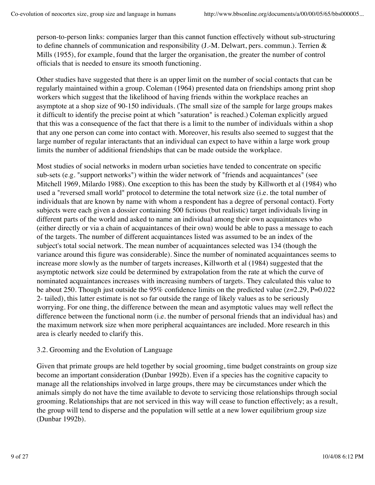person-to-person links: companies larger than this cannot function effectively without sub-structuring to define channels of communication and responsibility (J.-M. Delwart, pers. commun.). Terrien & Mills (1955), for example, found that the larger the organisation, the greater the number of control officials that is needed to ensure its smooth functioning.

Other studies have suggested that there is an upper limit on the number of social contacts that can be regularly maintained within a group. Coleman (1964) presented data on friendships among print shop workers which suggest that the likelihood of having friends within the workplace reaches an asymptote at a shop size of 90-150 individuals. (The small size of the sample for large groups makes it difficult to identify the precise point at which "saturation" is reached.) Coleman explicitly argued that this was a consequence of the fact that there is a limit to the number of individuals within a shop that any one person can come into contact with. Moreover, his results also seemed to suggest that the large number of regular interactants that an individual can expect to have within a large work group limits the number of additional friendships that can be made outside the workplace.

Most studies of social networks in modern urban societies have tended to concentrate on specific sub-sets (e.g. "support networks") within the wider network of "friends and acquaintances" (see Mitchell 1969, Milardo 1988). One exception to this has been the study by Killworth et al (1984) who used a "reversed small world" protocol to determine the total network size (i.e. the total number of individuals that are known by name with whom a respondent has a degree of personal contact). Forty subjects were each given a dossier containing 500 fictious (but realistic) target individuals living in different parts of the world and asked to name an individual among their own acquaintances who (either directly or via a chain of acquaintances of their own) would be able to pass a message to each of the targets. The number of different acquaintances listed was assumed to be an index of the subject's total social network. The mean number of acquaintances selected was 134 (though the variance around this figure was considerable). Since the number of nominated acquaintances seems to increase more slowly as the number of targets increases, Killworth et al (1984) suggested that the asymptotic network size could be determined by extrapolation from the rate at which the curve of nominated acquaintances increases with increasing numbers of targets. They calculated this value to be about 250. Though just outside the 95% confidence limits on the predicted value (z=2.29, P=0.022 2- tailed), this latter estimate is not so far outside the range of likely values as to be seriously worrying. For one thing, the difference between the mean and asymptotic values may well reflect the difference between the functional norm (i.e. the number of personal friends that an individual has) and the maximum network size when more peripheral acquaintances are included. More research in this area is clearly needed to clarify this.

#### 3.2. Grooming and the Evolution of Language

Given that primate groups are held together by social grooming, time budget constraints on group size become an important consideration (Dunbar 1992b). Even if a species has the cognitive capacity to manage all the relationships involved in large groups, there may be circumstances under which the animals simply do not have the time available to devote to servicing those relationships through social grooming. Relationships that are not serviced in this way will cease to function effectively; as a result, the group will tend to disperse and the population will settle at a new lower equilibrium group size (Dunbar 1992b).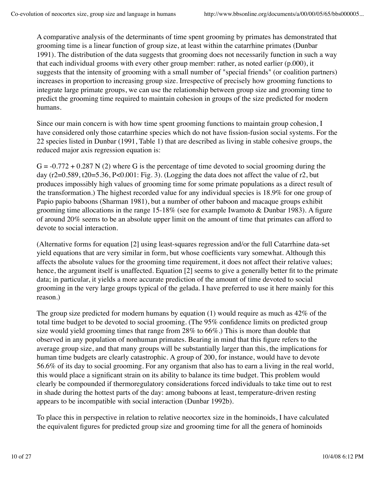A comparative analysis of the determinants of time spent grooming by primates has demonstrated that grooming time is a linear function of group size, at least within the catarrhine primates (Dunbar 1991). The distribution of the data suggests that grooming does not necessarily function in such a way that each individual grooms with every other group member: rather, as noted earlier (p.000), it suggests that the intensity of grooming with a small number of "special friends" (or coalition partners) increases in proportion to increasing group size. Irrespective of precisely how grooming functions to integrate large primate groups, we can use the relationship between group size and grooming time to predict the grooming time required to maintain cohesion in groups of the size predicted for modern humans.

Since our main concern is with how time spent grooming functions to maintain group cohesion, I have considered only those catarrhine species which do not have fission-fusion social systems. For the 22 species listed in Dunbar (1991, Table 1) that are described as living in stable cohesive groups, the reduced major axis regression equation is:

 $G = -0.772 + 0.287$  N (2) where G is the percentage of time devoted to social grooming during the day (r2=0.589, t20=5.36, P<0.001: Fig. 3). (Logging the data does not affect the value of r2, but produces impossibly high values of grooming time for some primate populations as a direct result of the transformation.) The highest recorded value for any individual species is 18.9% for one group of Papio papio baboons (Sharman 1981), but a number of other baboon and macaque groups exhibit grooming time allocations in the range 15-18% (see for example Iwamoto & Dunbar 1983). A figure of around 20% seems to be an absolute upper limit on the amount of time that primates can afford to devote to social interaction.

(Alternative forms for equation [2] using least-squares regression and/or the full Catarrhine data-set yield equations that are very similar in form, but whose coefficients vary somewhat. Although this affects the absolute values for the grooming time requirement, it does not affect their relative values; hence, the argument itself is unaffected. Equation [2] seems to give a generally better fit to the primate data; in particular, it yields a more accurate prediction of the amount of time devoted to social grooming in the very large groups typical of the gelada. I have preferred to use it here mainly for this reason.)

The group size predicted for modern humans by equation (1) would require as much as 42% of the total time budget to be devoted to social grooming. (The 95% confidence limits on predicted group size would yield grooming times that range from 28% to 66%.) This is more than double that observed in any population of nonhuman primates. Bearing in mind that this figure refers to the average group size, and that many groups will be substantially larger than this, the implications for human time budgets are clearly catastrophic. A group of 200, for instance, would have to devote 56.6% of its day to social grooming. For any organism that also has to earn a living in the real world, this would place a significant strain on its ability to balance its time budget. This problem would clearly be compounded if thermoregulatory considerations forced individuals to take time out to rest in shade during the hottest parts of the day: among baboons at least, temperature-driven resting appears to be incompatible with social interaction (Dunbar 1992b).

To place this in perspective in relation to relative neocortex size in the hominoids, I have calculated the equivalent figures for predicted group size and grooming time for all the genera of hominoids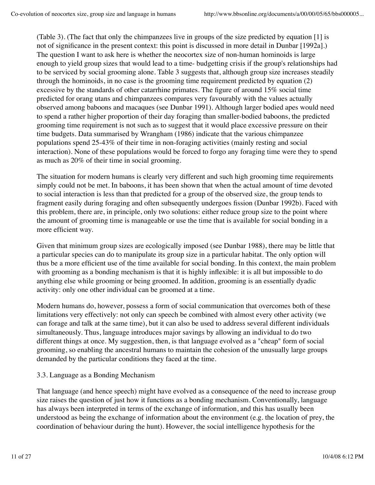(Table 3). (The fact that only the chimpanzees live in groups of the size predicted by equation [1] is not of significance in the present context: this point is discussed in more detail in Dunbar [1992a].) The question I want to ask here is whether the neocortex size of non-human hominoids is large enough to yield group sizes that would lead to a time- budgetting crisis if the group's relationships had to be serviced by social grooming alone. Table 3 suggests that, although group size increases steadily through the hominoids, in no case is the grooming time requirement predicted by equation (2) excessive by the standards of other catarrhine primates. The figure of around 15% social time predicted for orang utans and chimpanzees compares very favourably with the values actually observed among baboons and macaques (see Dunbar 1991). Although larger bodied apes would need to spend a rather higher proportion of their day foraging than smaller-bodied baboons, the predicted grooming time requirement is not such as to suggest that it would place excessive pressure on their time budgets. Data summarised by Wrangham (1986) indicate that the various chimpanzee populations spend 25-43% of their time in non-foraging activities (mainly resting and social interaction). None of these populations would be forced to forgo any foraging time were they to spend as much as 20% of their time in social grooming.

The situation for modern humans is clearly very different and such high grooming time requirements simply could not be met. In baboons, it has been shown that when the actual amount of time devoted to social interaction is less than that predicted for a group of the observed size, the group tends to fragment easily during foraging and often subsequently undergoes fission (Dunbar 1992b). Faced with this problem, there are, in principle, only two solutions: either reduce group size to the point where the amount of grooming time is manageable or use the time that is available for social bonding in a more efficient way.

Given that minimum group sizes are ecologically imposed (see Dunbar 1988), there may be little that a particular species can do to manipulate its group size in a particular habitat. The only option will thus be a more efficient use of the time available for social bonding. In this context, the main problem with grooming as a bonding mechanism is that it is highly inflexible: it is all but impossible to do anything else while grooming or being groomed. In addition, grooming is an essentially dyadic activity: only one other individual can be groomed at a time.

Modern humans do, however, possess a form of social communication that overcomes both of these limitations very effectively: not only can speech be combined with almost every other activity (we can forage and talk at the same time), but it can also be used to address several different individuals simultaneously. Thus, language introduces major savings by allowing an individual to do two different things at once. My suggestion, then, is that language evolved as a "cheap" form of social grooming, so enabling the ancestral humans to maintain the cohesion of the unusually large groups demanded by the particular conditions they faced at the time.

#### 3.3. Language as a Bonding Mechanism

That language (and hence speech) might have evolved as a consequence of the need to increase group size raises the question of just how it functions as a bonding mechanism. Conventionally, language has always been interpreted in terms of the exchange of information, and this has usually been understood as being the exchange of information about the environment (e.g. the location of prey, the coordination of behaviour during the hunt). However, the social intelligence hypothesis for the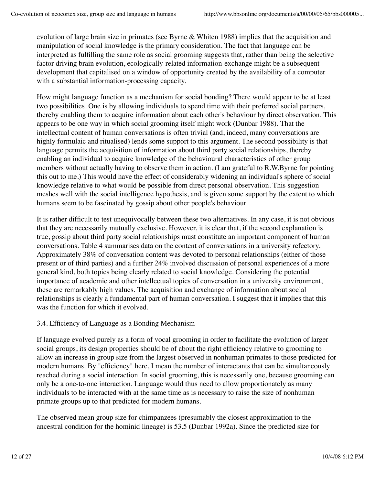evolution of large brain size in primates (see Byrne & Whiten 1988) implies that the acquisition and manipulation of social knowledge is the primary consideration. The fact that language can be interpreted as fulfilling the same role as social grooming suggests that, rather than being the selective factor driving brain evolution, ecologically-related information-exchange might be a subsequent development that capitalised on a window of opportunity created by the availability of a computer with a substantial information-processing capacity.

How might language function as a mechanism for social bonding? There would appear to be at least two possibilities. One is by allowing individuals to spend time with their preferred social partners, thereby enabling them to acquire information about each other's behaviour by direct observation. This appears to be one way in which social grooming itself might work (Dunbar 1988). That the intellectual content of human conversations is often trivial (and, indeed, many conversations are highly formulaic and ritualised) lends some support to this argument. The second possibility is that language permits the acquisition of information about third party social relationships, thereby enabling an individual to acquire knowledge of the behavioural characteristics of other group members without actually having to observe them in action. (I am grateful to R.W.Byrne for pointing this out to me.) This would have the effect of considerably widening an individual's sphere of social knowledge relative to what would be possible from direct personal observation. This suggestion meshes well with the social intelligence hypothesis, and is given some support by the extent to which humans seem to be fascinated by gossip about other people's behaviour.

It is rather difficult to test unequivocally between these two alternatives. In any case, it is not obvious that they are necessarily mutually exclusive. However, it is clear that, if the second explanation is true, gossip about third party social relationships must constitute an important component of human conversations. Table 4 summarises data on the content of conversations in a university refectory. Approximately 38% of conversation content was devoted to personal relationships (either of those present or of third parties) and a further 24% involved discussion of personal experiences of a more general kind, both topics being clearly related to social knowledge. Considering the potential importance of academic and other intellectual topics of conversation in a university environment, these are remarkably high values. The acquisition and exchange of information about social relationships is clearly a fundamental part of human conversation. I suggest that it implies that this was the function for which it evolved.

#### 3.4. Efficiency of Language as a Bonding Mechanism

If language evolved purely as a form of vocal grooming in order to facilitate the evolution of larger social groups, its design properties should be of about the right efficiency relative to grooming to allow an increase in group size from the largest observed in nonhuman primates to those predicted for modern humans. By "efficiency" here, I mean the number of interactants that can be simultaneously reached during a social interaction. In social grooming, this is necessarily one, because grooming can only be a one-to-one interaction. Language would thus need to allow proportionately as many individuals to be interacted with at the same time as is necessary to raise the size of nonhuman primate groups up to that predicted for modern humans.

The observed mean group size for chimpanzees (presumably the closest approximation to the ancestral condition for the hominid lineage) is 53.5 (Dunbar 1992a). Since the predicted size for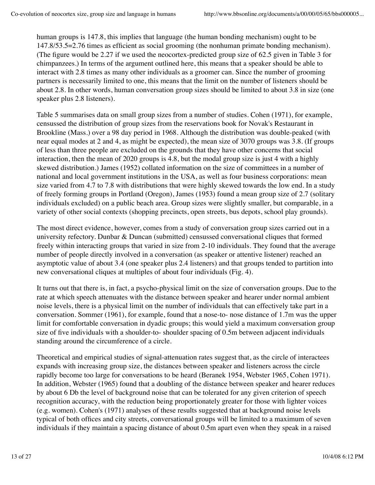human groups is 147.8, this implies that language (the human bonding mechanism) ought to be 147.8/53.5=2.76 times as efficient as social grooming (the nonhuman primate bonding mechanism). (The figure would be 2.27 if we used the neocortex-predicted group size of 62.5 given in Table 3 for chimpanzees.) In terms of the argument outlined here, this means that a speaker should be able to interact with 2.8 times as many other individuals as a groomer can. Since the number of grooming partners is necessarily limited to one, this means that the limit on the number of listeners should be about 2.8. In other words, human conversation group sizes should be limited to about 3.8 in size (one speaker plus 2.8 listeners).

Table 5 summarises data on small group sizes from a number of studies. Cohen (1971), for example, censussed the distribution of group sizes from the reservations book for Novak's Restaurant in Brookline (Mass.) over a 98 day period in 1968. Although the distribution was double-peaked (with near equal modes at 2 and 4, as might be expected), the mean size of 3070 groups was 3.8. (If groups of less than three people are excluded on the grounds that they have other concerns that social interaction, then the mean of 2020 groups is 4.8, but the modal group size is just 4 with a highly skewed distribution.) James (1952) collated information on the size of committees in a number of national and local government institutions in the USA, as well as four business corporations: mean size varied from 4.7 to 7.8 with distributions that were highly skewed towards the low end. In a study of freely forming groups in Portland (Oregon), James (1953) found a mean group size of 2.7 (solitary individuals excluded) on a public beach area. Group sizes were slightly smaller, but comparable, in a variety of other social contexts (shopping precincts, open streets, bus depots, school play grounds).

The most direct evidence, however, comes from a study of conversation group sizes carried out in a university refectory. Dunbar & Duncan (submitted) censussed conversational cliques that formed freely within interacting groups that varied in size from 2-10 individuals. They found that the average number of people directly involved in a conversation (as speaker or attentive listener) reached an asymptotic value of about 3.4 (one speaker plus 2.4 listeners) and that groups tended to partition into new conversational cliques at multiples of about four individuals (Fig. 4).

It turns out that there is, in fact, a psycho-physical limit on the size of conversation groups. Due to the rate at which speech attenuates with the distance between speaker and hearer under normal ambient noise levels, there is a physical limit on the number of individuals that can effectively take part in a conversation. Sommer (1961), for example, found that a nose-to- nose distance of 1.7m was the upper limit for comfortable conversation in dyadic groups; this would yield a maximum conversation group size of five individuals with a shoulder-to- shoulder spacing of 0.5m between adjacent individuals standing around the circumference of a circle.

Theoretical and empirical studies of signal-attenuation rates suggest that, as the circle of interactees expands with increasing group size, the distances between speaker and listeners across the circle rapidly become too large for conversations to be heard (Beranek 1954, Webster 1965, Cohen 1971). In addition, Webster (1965) found that a doubling of the distance between speaker and hearer reduces by about 6 Db the level of background noise that can be tolerated for any given criterion of speech recognition accuracy, with the reduction being proportionately greater for those with lighter voices (e.g. women). Cohen's (1971) analyses of these results suggested that at background noise levels typical of both offices and city streets, conversational groups will be limited to a maximum of seven individuals if they maintain a spacing distance of about 0.5m apart even when they speak in a raised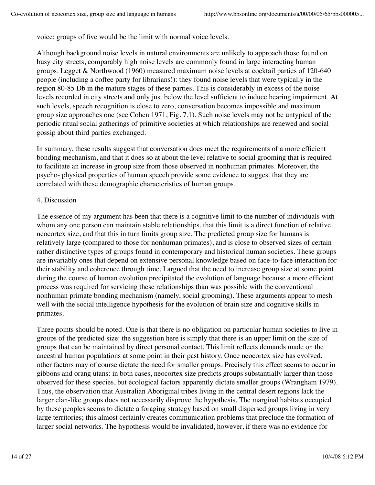voice; groups of five would be the limit with normal voice levels.

Although background noise levels in natural environments are unlikely to approach those found on busy city streets, comparably high noise levels are commonly found in large interacting human groups. Legget & Northwood (1960) measured maximum noise levels at cocktail parties of 120-640 people (including a coffee party for librarians!): they found noise levels that were typically in the region 80-85 Db in the mature stages of these parties. This is considerably in excess of the noise levels recorded in city streets and only just below the level sufficient to induce hearing impairment. At such levels, speech recognition is close to zero, conversation becomes impossible and maximum group size approaches one (see Cohen 1971, Fig. 7.1). Such noise levels may not be untypical of the periodic ritual social gatherings of primitive societies at which relationships are renewed and social gossip about third parties exchanged.

In summary, these results suggest that conversation does meet the requirements of a more efficient bonding mechanism, and that it does so at about the level relative to social grooming that is required to facilitate an increase in group size from those observed in nonhuman primates. Moreover, the psycho- physical properties of human speech provide some evidence to suggest that they are correlated with these demographic characteristics of human groups.

#### 4. Discussion

The essence of my argument has been that there is a cognitive limit to the number of individuals with whom any one person can maintain stable relationships, that this limit is a direct function of relative neocortex size, and that this in turn limits group size. The predicted group size for humans is relatively large (compared to those for nonhuman primates), and is close to observed sizes of certain rather distinctive types of groups found in contemporary and historical human societies. These groups are invariably ones that depend on extensive personal knowledge based on face-to-face interaction for their stability and coherence through time. I argued that the need to increase group size at some point during the course of human evolution precipitated the evolution of language because a more efficient process was required for servicing these relationships than was possible with the conventional nonhuman primate bonding mechanism (namely, social grooming). These arguments appear to mesh well with the social intelligence hypothesis for the evolution of brain size and cognitive skills in primates.

Three points should be noted. One is that there is no obligation on particular human societies to live in groups of the predicted size: the suggestion here is simply that there is an upper limit on the size of groups that can be maintained by direct personal contact. This limit reflects demands made on the ancestral human populations at some point in their past history. Once neocortex size has evolved, other factors may of course dictate the need for smaller groups. Precisely this effect seems to occur in gibbons and orang utans: in both cases, neocortex size predicts groups substantially larger than those observed for these species, but ecological factors apparently dictate smaller groups (Wrangham 1979). Thus, the observation that Australian Aboriginal tribes living in the central desert regions lack the larger clan-like groups does not necessarily disprove the hypothesis. The marginal habitats occupied by these peoples seems to dictate a foraging strategy based on small dispersed groups living in very large territories; this almost certainly creates communication problems that preclude the formation of larger social networks. The hypothesis would be invalidated, however, if there was no evidence for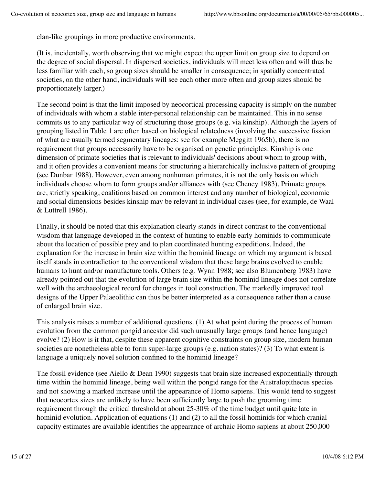clan-like groupings in more productive environments.

(It is, incidentally, worth observing that we might expect the upper limit on group size to depend on the degree of social dispersal. In dispersed societies, individuals will meet less often and will thus be less familiar with each, so group sizes should be smaller in consequence; in spatially concentrated societies, on the other hand, individuals will see each other more often and group sizes should be proportionately larger.)

The second point is that the limit imposed by neocortical processing capacity is simply on the number of individuals with whom a stable inter-personal relationship can be maintained. This in no sense commits us to any particular way of structuring those groups (e.g. via kinship). Although the layers of grouping listed in Table 1 are often based on biological relatedness (involving the successive fission of what are usually termed segmentary lineages: see for example Meggitt 1965b), there is no requirement that groups necessarily have to be organised on genetic principles. Kinship is one dimension of primate societies that is relevant to individuals' decisions about whom to group with, and it often provides a convenient means for structuring a hierarchically inclusive pattern of grouping (see Dunbar 1988). However, even among nonhuman primates, it is not the only basis on which individuals choose whom to form groups and/or alliances with (see Cheney 1983). Primate groups are, strictly speaking, coalitions based on common interest and any number of biological, economic and social dimensions besides kinship may be relevant in individual cases (see, for example, de Waal & Luttrell 1986).

Finally, it should be noted that this explanation clearly stands in direct contrast to the conventional wisdom that language developed in the context of hunting to enable early hominids to communicate about the location of possible prey and to plan coordinated hunting expeditions. Indeed, the explanation for the increase in brain size within the hominid lineage on which my argument is based itself stands in contradiction to the conventional wisdom that these large brains evolved to enable humans to hunt and/or manufacture tools. Others (e.g. Wynn 1988; see also Blumenberg 1983) have already pointed out that the evolution of large brain size within the hominid lineage does not correlate well with the archaeological record for changes in tool construction. The markedly improved tool designs of the Upper Palaeolithic can thus be better interpreted as a consequence rather than a cause of enlarged brain size.

This analysis raises a number of additional questions. (1) At what point during the process of human evolution from the common pongid ancestor did such unusually large groups (and hence language) evolve? (2) How is it that, despite these apparent cognitive constraints on group size, modern human societies are nonetheless able to form super-large groups (e.g. nation states)? (3) To what extent is language a uniquely novel solution confined to the hominid lineage?

The fossil evidence (see Aiello & Dean 1990) suggests that brain size increased exponentially through time within the hominid lineage, being well within the pongid range for the Australopithecus species and not showing a marked increase until the appearance of Homo sapiens. This would tend to suggest that neocortex sizes are unlikely to have been sufficiently large to push the grooming time requirement through the critical threshold at about 25-30% of the time budget until quite late in hominid evolution. Application of equations (1) and (2) to all the fossil hominids for which cranial capacity estimates are available identifies the appearance of archaic Homo sapiens at about 250,000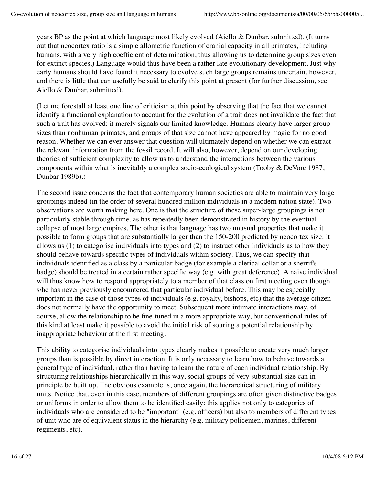years BP as the point at which language most likely evolved (Aiello & Dunbar, submitted). (It turns out that neocortex ratio is a simple allometric function of cranial capacity in all primates, including humans, with a very high coefficient of determination, thus allowing us to determine group sizes even for extinct species.) Language would thus have been a rather late evolutionary development. Just why early humans should have found it necessary to evolve such large groups remains uncertain, however, and there is little that can usefully be said to clarify this point at present (for further discussion, see Aiello & Dunbar, submitted).

(Let me forestall at least one line of criticism at this point by observing that the fact that we cannot identify a functional explanation to account for the evolution of a trait does not invalidate the fact that such a trait has evolved: it merely signals our limited knowledge. Humans clearly have larger group sizes than nonhuman primates, and groups of that size cannot have appeared by magic for no good reason. Whether we can ever answer that question will ultimately depend on whether we can extract the relevant information from the fossil record. It will also, however, depend on our developing theories of sufficient complexity to allow us to understand the interactions between the various components within what is inevitably a complex socio-ecological system (Tooby & DeVore 1987, Dunbar 1989b).)

The second issue concerns the fact that contemporary human societies are able to maintain very large groupings indeed (in the order of several hundred million individuals in a modern nation state). Two observations are worth making here. One is that the structure of these super-large groupings is not particularly stable through time, as has repeatedly been demonstrated in history by the eventual collapse of most large empires. The other is that language has two unusual properties that make it possible to form groups that are substantially larger than the 150-200 predicted by neocortex size: it allows us (1) to categorise individuals into types and (2) to instruct other individuals as to how they should behave towards specific types of individuals within society. Thus, we can specify that individuals identified as a class by a particular badge (for example a clerical collar or a sherrif's badge) should be treated in a certain rather specific way (e.g. with great deference). A naive individual will thus know how to respond appropriately to a member of that class on first meeting even though s/he has never previously encountered that particular individual before. This may be especially important in the case of those types of individuals (e.g. royalty, bishops, etc) that the average citizen does not normally have the opportunity to meet. Subsequent more intimate interactions may, of course, allow the relationship to be fine-tuned in a more appropriate way, but conventional rules of this kind at least make it possible to avoid the initial risk of souring a potential relationship by inappropriate behaviour at the first meeting.

This ability to categorise individuals into types clearly makes it possible to create very much larger groups than is possible by direct interaction. It is only necessary to learn how to behave towards a general type of individual, rather than having to learn the nature of each individual relationship. By structuring relationships hierarchically in this way, social groups of very substantial size can in principle be built up. The obvious example is, once again, the hierarchical structuring of military units. Notice that, even in this case, members of different groupings are often given distinctive badges or uniforms in order to allow them to be identified easily: this applies not only to categories of individuals who are considered to be "important" (e.g. officers) but also to members of different types of unit who are of equivalent status in the hierarchy (e.g. military policemen, marines, different regiments, etc).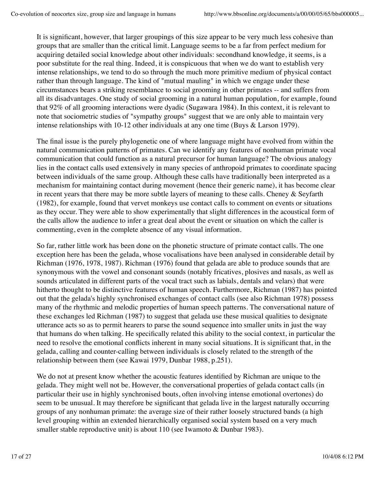It is significant, however, that larger groupings of this size appear to be very much less cohesive than groups that are smaller than the critical limit. Language seems to be a far from perfect medium for acquiring detailed social knowledge about other individuals: secondhand knowledge, it seems, is a poor substitute for the real thing. Indeed, it is conspicuous that when we do want to establish very intense relationships, we tend to do so through the much more primitive medium of physical contact rather than through language. The kind of "mutual mauling" in which we engage under these circumstances bears a striking resemblance to social grooming in other primates -- and suffers from all its disadvantages. One study of social grooming in a natural human population, for example, found that 92% of all grooming interactions were dyadic (Sugawara 1984). In this context, it is relevant to note that sociometric studies of "sympathy groups" suggest that we are only able to maintain very intense relationships with 10-12 other individuals at any one time (Buys & Larson 1979).

The final issue is the purely phylogenetic one of where language might have evolved from within the natural communication patterns of primates. Can we identify any features of nonhuman primate vocal communication that could function as a natural precursor for human language? The obvious analogy lies in the contact calls used extensively in many species of anthropoid primates to coordinate spacing between individuals of the same group. Although these calls have traditionally been interpreted as a mechanism for maintaining contact during movement (hence their generic name), it has become clear in recent years that there may be more subtle layers of meaning to these calls. Cheney  $\&$  Seyfarth (1982), for example, found that vervet monkeys use contact calls to comment on events or situations as they occur. They were able to show experimentally that slight differences in the acoustical form of the calls allow the audience to infer a great deal about the event or situation on which the caller is commenting, even in the complete absence of any visual information.

So far, rather little work has been done on the phonetic structure of primate contact calls. The one exception here has been the gelada, whose vocalisations have been analysed in considerable detail by Richman (1976, 1978, 1987). Richman (1976) found that gelada are able to produce sounds that are synonymous with the vowel and consonant sounds (notably fricatives, plosives and nasals, as well as sounds articulated in different parts of the vocal tract such as labials, dentals and velars) that were hitherto thought to be distinctive features of human speech. Furthermore, Richman (1987) has pointed out that the gelada's highly synchronised exchanges of contact calls (see also Richman 1978) possess many of the rhythmic and melodic properties of human speech patterns. The conversational nature of these exchanges led Richman (1987) to suggest that gelada use these musical qualities to designate utterance acts so as to permit hearers to parse the sound sequence into smaller units in just the way that humans do when talking. He specifically related this ability to the social context, in particular the need to resolve the emotional conflicts inherent in many social situations. It is significant that, in the gelada, calling and counter-calling between individuals is closely related to the strength of the relationship between them (see Kawai 1979, Dunbar 1988, p.251).

We do not at present know whether the acoustic features identified by Richman are unique to the gelada. They might well not be. However, the conversational properties of gelada contact calls (in particular their use in highly synchronised bouts, often involving intense emotional overtones) do seem to be unusual. It may therefore be significant that gelada live in the largest naturally occurring groups of any nonhuman primate: the average size of their rather loosely structured bands (a high level grouping within an extended hierarchically organised social system based on a very much smaller stable reproductive unit) is about 110 (see Iwamoto & Dunbar 1983).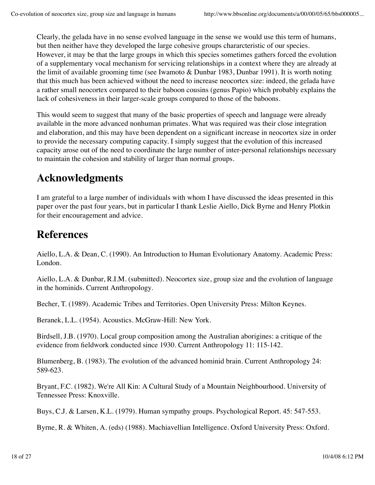Clearly, the gelada have in no sense evolved language in the sense we would use this term of humans, but then neither have they developed the large cohesive groups chararcteristic of our species. However, it may be that the large groups in which this species sometimes gathers forced the evolution of a supplementary vocal mechanism for servicing relationships in a context where they are already at the limit of available grooming time (see Iwamoto & Dunbar 1983, Dunbar 1991). It is worth noting that this much has been achieved without the need to increase neocortex size: indeed, the gelada have a rather small neocortex compared to their baboon cousins (genus Papio) which probably explains the lack of cohesiveness in their larger-scale groups compared to those of the baboons.

This would seem to suggest that many of the basic properties of speech and language were already available in the more advanced nonhuman primates. What was required was their close integration and elaboration, and this may have been dependent on a significant increase in neocortex size in order to provide the necessary computing capacity. I simply suggest that the evolution of this increased capacity arose out of the need to coordinate the large number of inter-personal relationships necessary to maintain the cohesion and stability of larger than normal groups.

### **Acknowledgments**

I am grateful to a large number of individuals with whom I have discussed the ideas presented in this paper over the past four years, but in particular I thank Leslie Aiello, Dick Byrne and Henry Plotkin for their encouragement and advice.

### **References**

Aiello, L.A. & Dean, C. (1990). An Introduction to Human Evolutionary Anatomy. Academic Press: London.

Aiello, L.A. & Dunbar, R.I.M. (submitted). Neocortex size, group size and the evolution of language in the hominids. Current Anthropology.

Becher, T. (1989). Academic Tribes and Territories. Open University Press: Milton Keynes.

Beranek, L.L. (1954). Acoustics. McGraw-Hill: New York.

Birdsell, J.B. (1970). Local group composition among the Australian aborigines: a critique of the evidence from fieldwork conducted since 1930. Current Anthropology 11: 115-142.

Blumenberg, B. (1983). The evolution of the advanced hominid brain. Current Anthropology 24: 589-623.

Bryant, F.C. (1982). We're All Kin: A Cultural Study of a Mountain Neighbourhood. University of Tennessee Press: Knoxville.

Buys, C.J. & Larsen, K.L. (1979). Human sympathy groups. Psychological Report. 45: 547-553.

Byrne, R. & Whiten, A. (eds) (1988). Machiavellian Intelligence. Oxford University Press: Oxford.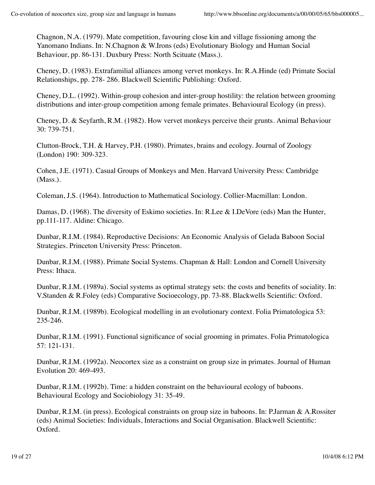Chagnon, N.A. (1979). Mate competition, favouring close kin and village fissioning among the Yanomano Indians. In: N.Chagnon & W.Irons (eds) Evolutionary Biology and Human Social Behaviour, pp. 86-131. Duxbury Press: North Scituate (Mass.).

Cheney, D. (1983). Extrafamilial alliances among vervet monkeys. In: R.A.Hinde (ed) Primate Social Relationships, pp. 278- 286. Blackwell Scientific Publishing: Oxford.

Cheney, D.L. (1992). Within-group cohesion and inter-group hostility: the relation between grooming distributions and inter-group competition among female primates. Behavioural Ecology (in press).

Cheney, D. & Seyfarth, R.M. (1982). How vervet monkeys perceive their grunts. Animal Behaviour 30: 739-751.

Clutton-Brock, T.H. & Harvey, P.H. (1980). Primates, brains and ecology. Journal of Zoology (London) 190: 309-323.

Cohen, J.E. (1971). Casual Groups of Monkeys and Men. Harvard University Press: Cambridge (Mass.).

Coleman, J.S. (1964). Introduction to Mathematical Sociology. Collier-Macmillan: London.

Damas, D. (1968). The diversity of Eskimo societies. In: R.Lee & I.DeVore (eds) Man the Hunter, pp.111-117. Aldine: Chicago.

Dunbar, R.I.M. (1984). Reproductive Decisions: An Economic Analysis of Gelada Baboon Social Strategies. Princeton University Press: Princeton.

Dunbar, R.I.M. (1988). Primate Social Systems. Chapman & Hall: London and Cornell University Press: Ithaca.

Dunbar, R.I.M. (1989a). Social systems as optimal strategy sets: the costs and benefits of sociality. In: V.Standen & R.Foley (eds) Comparative Socioecology, pp. 73-88. Blackwells Scientific: Oxford.

Dunbar, R.I.M. (1989b). Ecological modelling in an evolutionary context. Folia Primatologica 53: 235-246.

Dunbar, R.I.M. (1991). Functional significance of social grooming in primates. Folia Primatologica 57: 121-131.

Dunbar, R.I.M. (1992a). Neocortex size as a constraint on group size in primates. Journal of Human Evolution 20: 469-493.

Dunbar, R.I.M. (1992b). Time: a hidden constraint on the behavioural ecology of baboons. Behavioural Ecology and Sociobiology 31: 35-49.

Dunbar, R.I.M. (in press). Ecological constraints on group size in baboons. In: P.Jarman & A.Rossiter (eds) Animal Societies: Individuals, Interactions and Social Organisation. Blackwell Scientific: Oxford.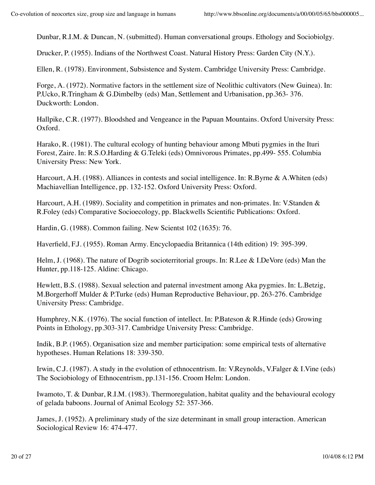Dunbar, R.I.M. & Duncan, N. (submitted). Human conversational groups. Ethology and Sociobiolgy.

Drucker, P. (1955). Indians of the Northwest Coast. Natural History Press: Garden City (N.Y.).

Ellen, R. (1978). Environment, Subsistence and System. Cambridge University Press: Cambridge.

Forge, A. (1972). Normative factors in the settlement size of Neolithic cultivators (New Guinea). In: P.Ucko, R.Tringham & G.Dimbelby (eds) Man, Settlement and Urbanisation, pp.363- 376. Duckworth: London.

Hallpike, C.R. (1977). Bloodshed and Vengeance in the Papuan Mountains. Oxford University Press: Oxford.

Harako, R. (1981). The cultural ecology of hunting behaviour among Mbuti pygmies in the Ituri Forest, Zaire. In: R.S.O.Harding & G.Teleki (eds) Omnivorous Primates, pp.499- 555. Columbia University Press: New York.

Harcourt, A.H. (1988). Alliances in contests and social intelligence. In: R.Byrne & A.Whiten (eds) Machiavellian Intelligence, pp. 132-152. Oxford University Press: Oxford.

Harcourt, A.H. (1989). Sociality and competition in primates and non-primates. In: V.Standen & R.Foley (eds) Comparative Socioecology, pp. Blackwells Scientific Publications: Oxford.

Hardin, G. (1988). Common failing. New Scientst 102 (1635): 76.

Haverfield, F.J. (1955). Roman Army. Encyclopaedia Britannica (14th edition) 19: 395-399.

Helm, J. (1968). The nature of Dogrib socioterritorial groups. In: R.Lee & I.DeVore (eds) Man the Hunter, pp.118-125. Aldine: Chicago.

Hewlett, B.S. (1988). Sexual selection and paternal investment among Aka pygmies. In: L.Betzig, M.Borgerhoff Mulder & P.Turke (eds) Human Reproductive Behaviour, pp. 263-276. Cambridge University Press: Cambridge.

Humphrey, N.K. (1976). The social function of intellect. In: P.Bateson & R.Hinde (eds) Growing Points in Ethology, pp.303-317. Cambridge University Press: Cambridge.

Indik, B.P. (1965). Organisation size and member participation: some empirical tests of alternative hypotheses. Human Relations 18: 339-350.

Irwin, C.J. (1987). A study in the evolution of ethnocentrism. In: V.Reynolds, V.Falger & I.Vine (eds) The Sociobiology of Ethnocentrism, pp.131-156. Croom Helm: London.

Iwamoto, T. & Dunbar, R.I.M. (1983). Thermoregulation, habitat quality and the behavioural ecology of gelada baboons. Journal of Animal Ecology 52: 357-366.

James, J. (1952). A preliminary study of the size determinant in small group interaction. American Sociological Review 16: 474-477.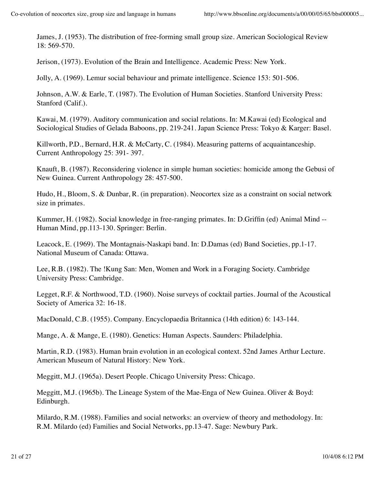James, J. (1953). The distribution of free-forming small group size. American Sociological Review 18: 569-570.

Jerison, (1973). Evolution of the Brain and Intelligence. Academic Press: New York.

Jolly, A. (1969). Lemur social behaviour and primate intelligence. Science 153: 501-506.

Johnson, A.W. & Earle, T. (1987). The Evolution of Human Societies. Stanford University Press: Stanford (Calif.).

Kawai, M. (1979). Auditory communication and social relations. In: M.Kawai (ed) Ecological and Sociological Studies of Gelada Baboons, pp. 219-241. Japan Science Press: Tokyo & Karger: Basel.

Killworth, P.D., Bernard, H.R. & McCarty, C. (1984). Measuring patterns of acquaintanceship. Current Anthropology 25: 391- 397.

Knauft, B. (1987). Reconsidering violence in simple human societies: homicide among the Gebusi of New Guinea. Current Anthropology 28: 457-500.

Hudo, H., Bloom, S. & Dunbar, R. (in preparation). Neocortex size as a constraint on social network size in primates.

Kummer, H. (1982). Social knowledge in free-ranging primates. In: D.Griffin (ed) Animal Mind -- Human Mind, pp.113-130. Springer: Berlin.

Leacock, E. (1969). The Montagnais-Naskapi band. In: D.Damas (ed) Band Societies, pp.1-17. National Museum of Canada: Ottawa.

Lee, R.B. (1982). The !Kung San: Men, Women and Work in a Foraging Society. Cambridge University Press: Cambridge.

Legget, R.F. & Northwood, T.D. (1960). Noise surveys of cocktail parties. Journal of the Acoustical Society of America 32: 16-18.

MacDonald, C.B. (1955). Company. Encyclopaedia Britannica (14th edition) 6: 143-144.

Mange, A. & Mange, E. (1980). Genetics: Human Aspects. Saunders: Philadelphia.

Martin, R.D. (1983). Human brain evolution in an ecological context. 52nd James Arthur Lecture. American Museum of Natural History: New York.

Meggitt, M.J. (1965a). Desert People. Chicago University Press: Chicago.

Meggitt, M.J. (1965b). The Lineage System of the Mae-Enga of New Guinea. Oliver & Boyd: Edinburgh.

Milardo, R.M. (1988). Families and social networks: an overview of theory and methodology. In: R.M. Milardo (ed) Families and Social Networks, pp.13-47. Sage: Newbury Park.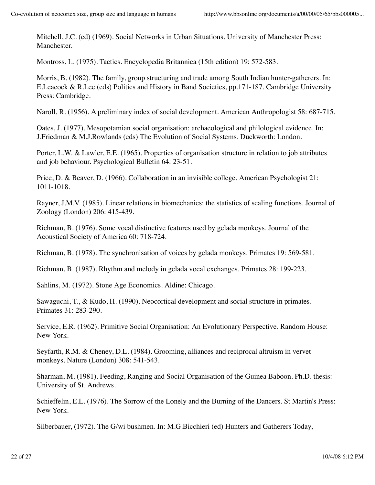Mitchell, J.C. (ed) (1969). Social Networks in Urban Situations. University of Manchester Press: Manchester.

Montross, L. (1975). Tactics. Encyclopedia Britannica (15th edition) 19: 572-583.

Morris, B. (1982). The family, group structuring and trade among South Indian hunter-gatherers. In: E.Leacock & R.Lee (eds) Politics and History in Band Societies, pp.171-187. Cambridge University Press: Cambridge.

Naroll, R. (1956). A preliminary index of social development. American Anthropologist 58: 687-715.

Oates, J. (1977). Mesopotamian social organisation: archaeological and philological evidence. In: J.Friedman & M.J.Rowlands (eds) The Evolution of Social Systems. Duckworth: London.

Porter, L.W. & Lawler, E.E. (1965). Properties of organisation structure in relation to job attributes and job behaviour. Psychological Bulletin 64: 23-51.

Price, D. & Beaver, D. (1966). Collaboration in an invisible college. American Psychologist 21: 1011-1018.

Rayner, J.M.V. (1985). Linear relations in biomechanics: the statistics of scaling functions. Journal of Zoology (London) 206: 415-439.

Richman, B. (1976). Some vocal distinctive features used by gelada monkeys. Journal of the Acoustical Society of America 60: 718-724.

Richman, B. (1978). The synchronisation of voices by gelada monkeys. Primates 19: 569-581.

Richman, B. (1987). Rhythm and melody in gelada vocal exchanges. Primates 28: 199-223.

Sahlins, M. (1972). Stone Age Economics. Aldine: Chicago.

Sawaguchi, T., & Kudo, H. (1990). Neocortical development and social structure in primates. Primates 31: 283-290.

Service, E.R. (1962). Primitive Social Organisation: An Evolutionary Perspective. Random House: New York.

Seyfarth, R.M. & Cheney, D.L. (1984). Grooming, alliances and reciprocal altruism in vervet monkeys. Nature (London) 308: 541-543.

Sharman, M. (1981). Feeding, Ranging and Social Organisation of the Guinea Baboon. Ph.D. thesis: University of St. Andrews.

Schieffelin, E.L. (1976). The Sorrow of the Lonely and the Burning of the Dancers. St Martin's Press: New York.

Silberbauer, (1972). The G/wi bushmen. In: M.G.Bicchieri (ed) Hunters and Gatherers Today,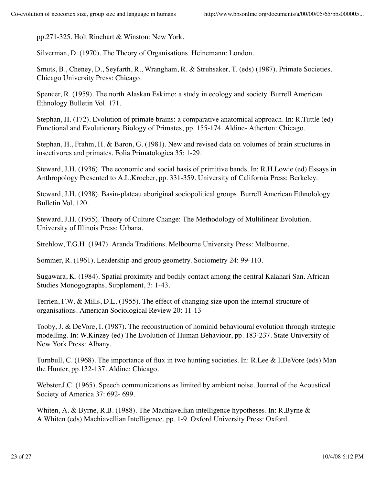pp.271-325. Holt Rinehart & Winston: New York.

Silverman, D. (1970). The Theory of Organisations. Heinemann: London.

Smuts, B., Cheney, D., Seyfarth, R., Wrangham, R. & Struhsaker, T. (eds) (1987). Primate Societies. Chicago University Press: Chicago.

Spencer, R. (1959). The north Alaskan Eskimo: a study in ecology and society. Burrell American Ethnology Bulletin Vol. 171.

Stephan, H. (172). Evolution of primate brains: a comparative anatomical approach. In: R.Tuttle (ed) Functional and Evolutionary Biology of Primates, pp. 155-174. Aldine- Atherton: Chicago.

Stephan, H., Frahm, H. & Baron, G. (1981). New and revised data on volumes of brain structures in insectivores and primates. Folia Primatologica 35: 1-29.

Steward, J.H. (1936). The economic and social basis of primitive bands. In: R.H.Lowie (ed) Essays in Anthropology Presented to A.L.Kroeber, pp. 331-359. University of California Press: Berkeley.

Steward, J.H. (1938). Basin-plateau aboriginal sociopolitical groups. Burrell American Ethnolology Bulletin Vol. 120.

Steward, J.H. (1955). Theory of Culture Change: The Methodology of Multilinear Evolution. University of Illinois Press: Urbana.

Strehlow, T.G.H. (1947). Aranda Traditions. Melbourne University Press: Melbourne.

Sommer, R. (1961). Leadership and group geometry. Sociometry 24: 99-110.

Sugawara, K. (1984). Spatial proximity and bodily contact among the central Kalahari San. African Studies Monogographs, Supplement, 3: 1-43.

Terrien, F.W. & Mills, D.L. (1955). The effect of changing size upon the internal structure of organisations. American Sociological Review 20: 11-13

Tooby, J. & DeVore, I. (1987). The reconstruction of hominid behavioural evolution through strategic modelling. In: W.Kinzey (ed) The Evolution of Human Behaviour, pp. 183-237. State University of New York Press: Albany.

Turnbull, C. (1968). The importance of flux in two hunting societies. In: R.Lee & I.DeVore (eds) Man the Hunter, pp.132-137. Aldine: Chicago.

Webster,J.C. (1965). Speech communications as limited by ambient noise. Journal of the Acoustical Society of America 37: 692- 699.

Whiten, A. & Byrne, R.B. (1988). The Machiavellian intelligence hypotheses. In: R.Byrne & A.Whiten (eds) Machiavellian Intelligence, pp. 1-9. Oxford University Press: Oxford.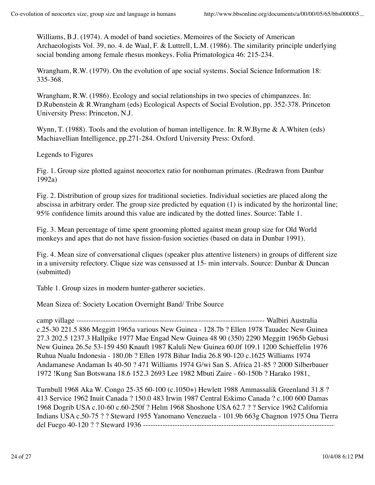Williams, B.J. (1974). A model of band societies. Memoires of the Society of American Archaeologists Vol. 39, no. 4. de Waal, F. & Luttrell, L.M. (1986). The similarity principle underlying social bonding among female rhesus monkeys. Folia Primatologica 46: 215-234.

Wrangham, R.W. (1979). On the evolution of ape social systems. Social Science Information 18: 335-368.

Wrangham, R.W. (1986). Ecology and social relationships in two species of chimpanzees. In: D.Rubenstein & R.Wrangham (eds) Ecological Aspects of Social Evolution, pp. 352-378. Princeton University Press: Princeton, N.J.

Wynn, T. (1988). Tools and the evolution of human intelligence. In: R.W.Byrne & A.Whiten (eds) Machiavellian Intelligence, pp.271-284. Oxford University Press: Oxford.

Legends to Figures

Fig. 1. Group size plotted against neocortex ratio for nonhuman primates. (Redrawn from Dunbar 1992a)

Fig. 2. Distribution of group sizes for traditional societies. Individual societies are placed along the abscissa in arbitrary order. The group size predicted by equation (1) is indicated by the horizontal line; 95% confidence limits around this value are indicated by the dotted lines. Source: Table 1.

Fig. 3. Mean percentage of time spent grooming plotted against mean group size for Old World monkeys and apes that do not have fission-fusion societies (based on data in Dunbar 1991).

Fig. 4. Mean size of conversational cliques (speaker plus attentive listeners) in groups of different size in a university refectory. Clique size was censussed at 15- min intervals. Source: Dunbar & Duncan (submitted)

Table 1. Group sizes in modern hunter-gatherer societies.

Mean Sizea of: Society Location Overnight Band/ Tribe Source

camp village ----------------------------------------------------------------------------- Walbiri Australia c.25-30 221.5 886 Meggitt 1965a various New Guinea - 128.7b ? Ellen 1978 Tauadec New Guinea 27.3 202.5 1237.3 Hallpike 1977 Mae Engad New Guinea 48 90 (350) 2290 Meggitt 1965b Gebusi New Guinea 26.5e 53-159 450 Knauft 1987 Kaluli New Guinea 60.0f 109.1 1200 Schieffelin 1976 Ruhua Nualu Indonesia - 180.0b ? Ellen 1978 Bihar India 26.8 90-120 c.1625 Williams 1974 Andamanese Andaman Is 40-50 ? 471 Williams 1974 G/wi San S. Africa 21-85 ? 2000 Silberbauer 1972 !Kung San Botswana 18.6 152.3 2693 Lee 1982 Mbuti Zaire - 60-150b ? Harako 1981,

Turnbull 1968 Aka W. Congo 25-35 60-100 (c.1050+) Hewlett 1988 Ammassalik Greenland 31.8 ? 413 Service 1962 Inuit Canada ? 150.0 483 Irwin 1987 Central Eskimo Canada ? c.100 600 Damas 1968 Dogrib USA c.10-60 c.60-250f ? Helm 1968 Shoshone USA 62.7 ? ? Service 1962 California Indians USA c.50-75 ? ? Steward 1955 Yanomano Venezuela - 101.9b 663g Chagnon 1975 Ona Tierra del Fuego 40-120 ? ? Steward 1936 ------------------------------------------------------------------------------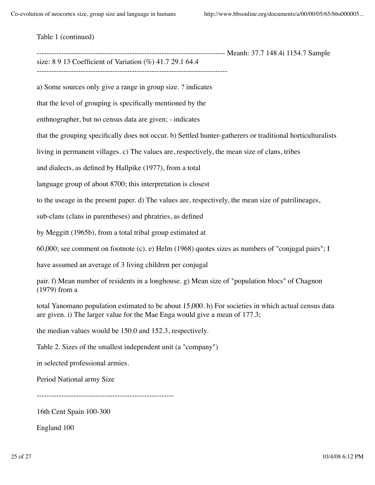Table 1 (continued)

----------------------------------------------------------------------------- Meanh: 37.7 148.4i 1154.7 Sample

size: 8 9 13 Coefficient of Variation (%) 41.7 29.1 64.4 ------------------------------------------------------------------------------

a) Some sources only give a range in group size. ? indicates

that the level of grouping is specifically mentioned by the

enthnographer, but no census data are given; - indicates

that the grouping specifically does not occur. b) Settled hunter-gatherers or traditional horticulturalists

living in permanent villages. c) The values are, respectively, the mean size of clans, tribes

and dialects, as defined by Hallpike (1977), from a total

language group of about 8700; this interpretation is closest

to the useage in the present paper. d) The values are, respectively, the mean size of patrilineages,

sub-clans (clans in parentheses) and phratries, as defined

by Meggitt (1965b), from a total tribal group estimated at

60,000; see comment on footnote (c). e) Helm (1968) quotes sizes as numbers of "conjugal pairs"; I

have assumed an average of 3 living children per conjugal

pair. f) Mean number of residents in a longhouse. g) Mean size of "population blocs" of Chagnon (1979) from a

total Yanomano population estimated to be about 15,000. h) For societies in which actual census data are given. i) The larger value for the Mae Enga would give a mean of 177.3;

the median values would be 150.0 and 152.3, respectively.

Table 2. Sizes of the smallest independent unit (a "company")

in selected professional armies.

Period National army Size

--------------------------------------------------------

16th Cent Spain 100-300

England 100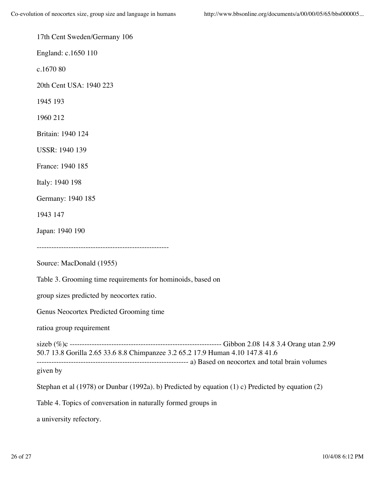17th Cent Sweden/Germany 106

England: c.1650 110

c.1670 80

20th Cent USA: 1940 223

1945 193

1960 212

Britain: 1940 124

USSR: 1940 139

France: 1940 185

Italy: 1940 198

Germany: 1940 185

1943 147

Japan: 1940 190

------------------------------------------------------

Source: MacDonald (1955)

Table 3. Grooming time requirements for hominoids, based on

group sizes predicted by neocortex ratio.

Genus Neocortex Predicted Grooming time

ratioa group requirement

sizeb (%)c -------------------------------------------------------------- Gibbon 2.08 14.8 3.4 Orang utan 2.99 50.7 13.8 Gorilla 2.65 33.6 8.8 Chimpanzee 3.2 65.2 17.9 Human 4.10 147.8 41.6

-------------------------------------------------------------- a) Based on neocortex and total brain volumes given by

Stephan et al (1978) or Dunbar (1992a). b) Predicted by equation (1) c) Predicted by equation (2)

Table 4. Topics of conversation in naturally formed groups in

a university refectory.